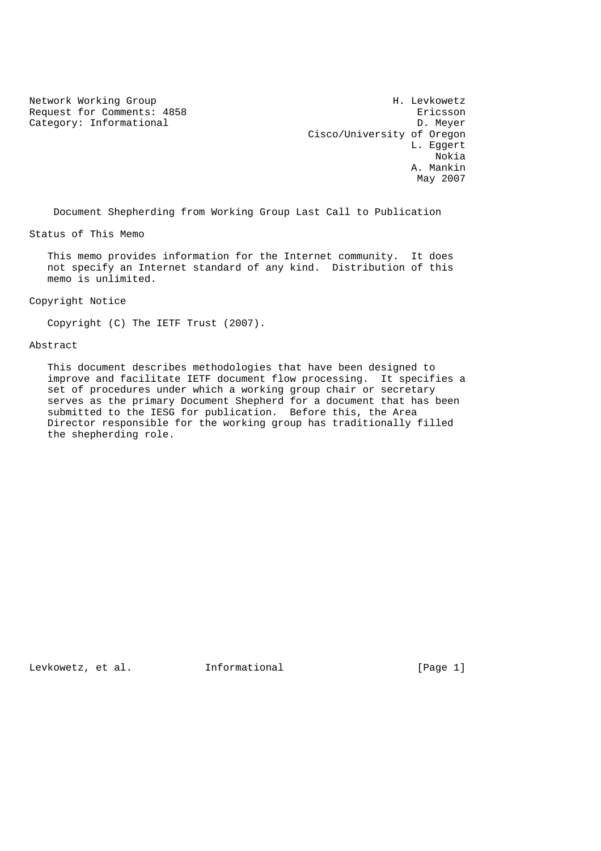Category: Informational

Network Working Group Network Working Group Request for Comments: 4858<br>Category: Informational example of the contraction of the category: Informational Cisco/University of Oregon L. Eggert na na matangana na kabupatèn Kabupatèn Kabupatèn Kabupatèn Kabupatèn Kabupatèn Kabupatèn Kabupatèn Kabupatèn K A. Mankin May 2007

Document Shepherding from Working Group Last Call to Publication

Status of This Memo

 This memo provides information for the Internet community. It does not specify an Internet standard of any kind. Distribution of this memo is unlimited.

Copyright Notice

Copyright (C) The IETF Trust (2007).

Abstract

 This document describes methodologies that have been designed to improve and facilitate IETF document flow processing. It specifies a set of procedures under which a working group chair or secretary serves as the primary Document Shepherd for a document that has been submitted to the IESG for publication. Before this, the Area Director responsible for the working group has traditionally filled the shepherding role.

Levkowetz, et al. 1nformational 1999 [Page 1]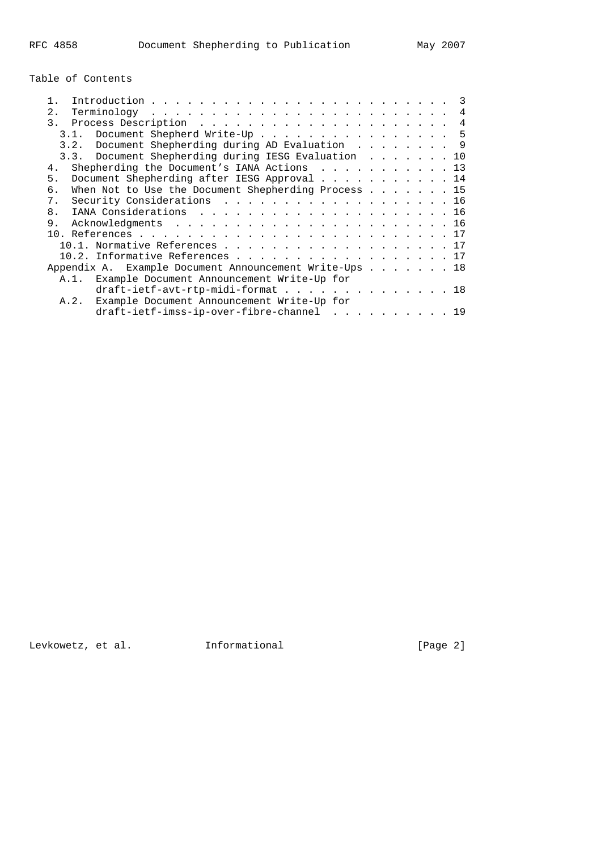Table of Contents

| 2.<br>$Terminology \dots \dots \dots \dots \dots \dots \dots \dots \dots \dots \dots$ |  |  |  |  |
|---------------------------------------------------------------------------------------|--|--|--|--|
|                                                                                       |  |  |  |  |
| 3.1. Document Shepherd Write-Up 5                                                     |  |  |  |  |
| 3.2. Document Shepherding during AD Evaluation 9                                      |  |  |  |  |
| 3.3. Document Shepherding during IESG Evaluation 10                                   |  |  |  |  |
| Shepherding the Document's IANA Actions 13<br>4.                                      |  |  |  |  |
| Document Shepherding after IESG Approval 14<br>5.                                     |  |  |  |  |
| When Not to Use the Document Shepherding Process 15<br>б.                             |  |  |  |  |
| Security Considerations 16<br>7.                                                      |  |  |  |  |
| 8.                                                                                    |  |  |  |  |
| 9.                                                                                    |  |  |  |  |
|                                                                                       |  |  |  |  |
| 10.1. Normative References 17                                                         |  |  |  |  |
| 10.2. Informative References 17                                                       |  |  |  |  |
| Appendix A. Example Document Announcement Write-Ups 18                                |  |  |  |  |
| A.1. Example Document Announcement Write-Up for                                       |  |  |  |  |
| draft-ietf-avt-rtp-midi-format 18                                                     |  |  |  |  |
| Example Document Announcement Write-Up for<br>A.2.                                    |  |  |  |  |
| draft-ietf-imss-ip-over-fibre-channel 19                                              |  |  |  |  |

Levkowetz, et al. 1nformational 1999 [Page 2]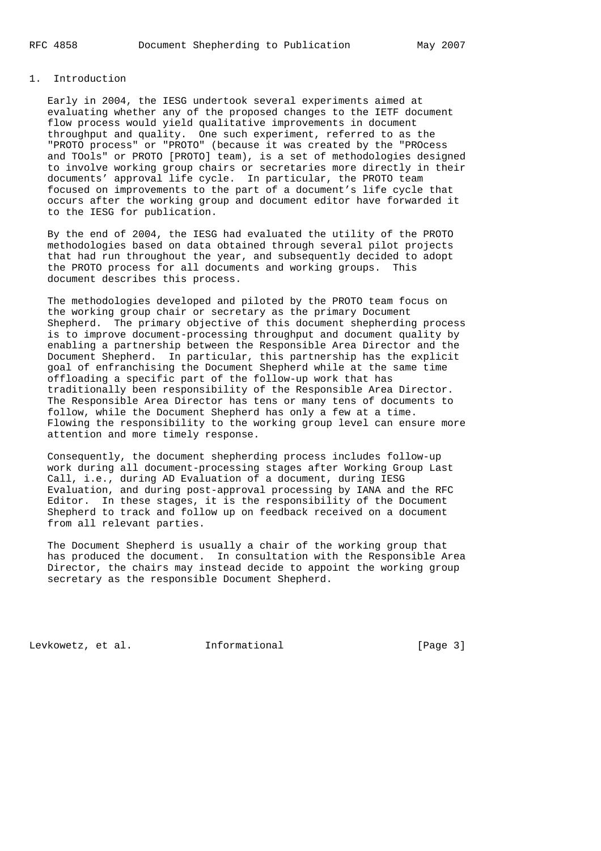#### 1. Introduction

 Early in 2004, the IESG undertook several experiments aimed at evaluating whether any of the proposed changes to the IETF document flow process would yield qualitative improvements in document throughput and quality. One such experiment, referred to as the "PROTO process" or "PROTO" (because it was created by the "PROcess and TOols" or PROTO [PROTO] team), is a set of methodologies designed to involve working group chairs or secretaries more directly in their documents' approval life cycle. In particular, the PROTO team focused on improvements to the part of a document's life cycle that occurs after the working group and document editor have forwarded it to the IESG for publication.

 By the end of 2004, the IESG had evaluated the utility of the PROTO methodologies based on data obtained through several pilot projects that had run throughout the year, and subsequently decided to adopt the PROTO process for all documents and working groups. This document describes this process.

 The methodologies developed and piloted by the PROTO team focus on the working group chair or secretary as the primary Document Shepherd. The primary objective of this document shepherding process is to improve document-processing throughput and document quality by enabling a partnership between the Responsible Area Director and the Document Shepherd. In particular, this partnership has the explicit goal of enfranchising the Document Shepherd while at the same time offloading a specific part of the follow-up work that has traditionally been responsibility of the Responsible Area Director. The Responsible Area Director has tens or many tens of documents to follow, while the Document Shepherd has only a few at a time. Flowing the responsibility to the working group level can ensure more attention and more timely response.

 Consequently, the document shepherding process includes follow-up work during all document-processing stages after Working Group Last Call, i.e., during AD Evaluation of a document, during IESG Evaluation, and during post-approval processing by IANA and the RFC Editor. In these stages, it is the responsibility of the Document Shepherd to track and follow up on feedback received on a document from all relevant parties.

 The Document Shepherd is usually a chair of the working group that has produced the document. In consultation with the Responsible Area Director, the chairs may instead decide to appoint the working group secretary as the responsible Document Shepherd.

Levkowetz, et al. 1nformational 1999 [Page 3]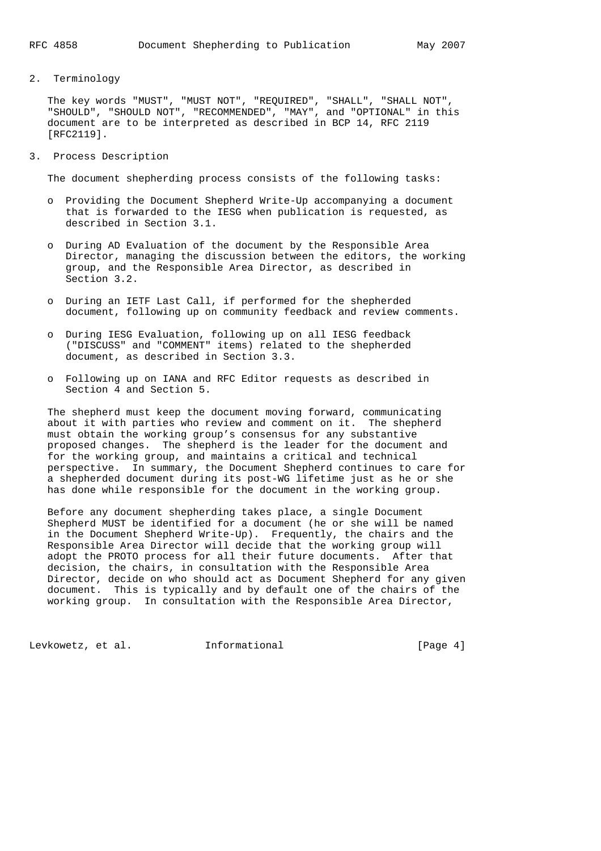2. Terminology

 The key words "MUST", "MUST NOT", "REQUIRED", "SHALL", "SHALL NOT", "SHOULD", "SHOULD NOT", "RECOMMENDED", "MAY", and "OPTIONAL" in this document are to be interpreted as described in BCP 14, RFC 2119 [RFC2119].

3. Process Description

The document shepherding process consists of the following tasks:

- o Providing the Document Shepherd Write-Up accompanying a document that is forwarded to the IESG when publication is requested, as described in Section 3.1.
- o During AD Evaluation of the document by the Responsible Area Director, managing the discussion between the editors, the working group, and the Responsible Area Director, as described in Section 3.2.
- o During an IETF Last Call, if performed for the shepherded document, following up on community feedback and review comments.
- o During IESG Evaluation, following up on all IESG feedback ("DISCUSS" and "COMMENT" items) related to the shepherded document, as described in Section 3.3.
- o Following up on IANA and RFC Editor requests as described in Section 4 and Section 5.

 The shepherd must keep the document moving forward, communicating about it with parties who review and comment on it. The shepherd must obtain the working group's consensus for any substantive proposed changes. The shepherd is the leader for the document and for the working group, and maintains a critical and technical perspective. In summary, the Document Shepherd continues to care for a shepherded document during its post-WG lifetime just as he or she has done while responsible for the document in the working group.

 Before any document shepherding takes place, a single Document Shepherd MUST be identified for a document (he or she will be named in the Document Shepherd Write-Up). Frequently, the chairs and the Responsible Area Director will decide that the working group will adopt the PROTO process for all their future documents. After that decision, the chairs, in consultation with the Responsible Area Director, decide on who should act as Document Shepherd for any given document. This is typically and by default one of the chairs of the working group. In consultation with the Responsible Area Director,

Levkowetz, et al. 1nformational 1992 [Page 4]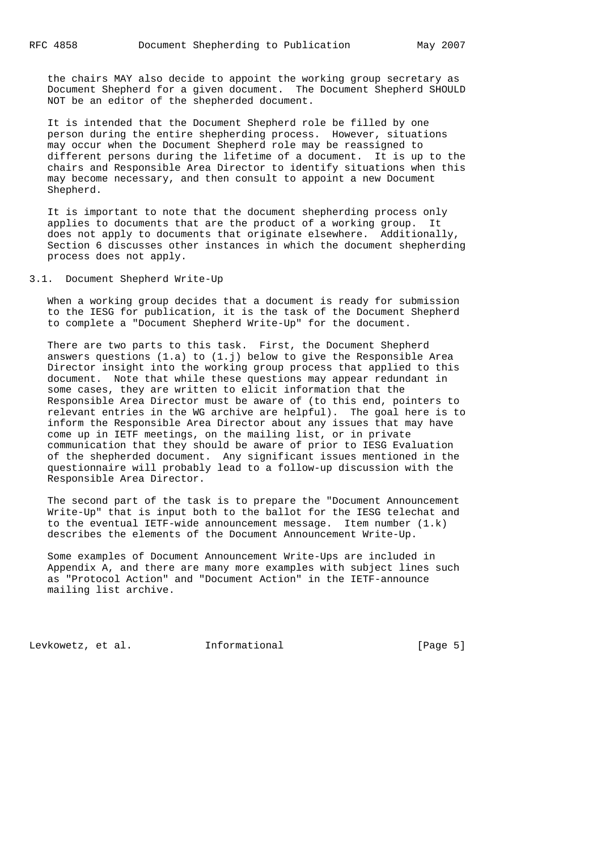the chairs MAY also decide to appoint the working group secretary as Document Shepherd for a given document. The Document Shepherd SHOULD NOT be an editor of the shepherded document.

 It is intended that the Document Shepherd role be filled by one person during the entire shepherding process. However, situations may occur when the Document Shepherd role may be reassigned to different persons during the lifetime of a document. It is up to the chairs and Responsible Area Director to identify situations when this may become necessary, and then consult to appoint a new Document Shepherd.

 It is important to note that the document shepherding process only applies to documents that are the product of a working group. It does not apply to documents that originate elsewhere. Additionally, Section 6 discusses other instances in which the document shepherding process does not apply.

3.1. Document Shepherd Write-Up

 When a working group decides that a document is ready for submission to the IESG for publication, it is the task of the Document Shepherd to complete a "Document Shepherd Write-Up" for the document.

 There are two parts to this task. First, the Document Shepherd answers questions  $(1.a)$  to  $(1.j)$  below to give the Responsible Area Director insight into the working group process that applied to this document. Note that while these questions may appear redundant in some cases, they are written to elicit information that the Responsible Area Director must be aware of (to this end, pointers to relevant entries in the WG archive are helpful). The goal here is to inform the Responsible Area Director about any issues that may have come up in IETF meetings, on the mailing list, or in private communication that they should be aware of prior to IESG Evaluation of the shepherded document. Any significant issues mentioned in the questionnaire will probably lead to a follow-up discussion with the Responsible Area Director.

 The second part of the task is to prepare the "Document Announcement Write-Up" that is input both to the ballot for the IESG telechat and to the eventual IETF-wide announcement message. Item number (1.k) describes the elements of the Document Announcement Write-Up.

 Some examples of Document Announcement Write-Ups are included in Appendix A, and there are many more examples with subject lines such as "Protocol Action" and "Document Action" in the IETF-announce mailing list archive.

Levkowetz, et al. 1nformational 1999 [Page 5]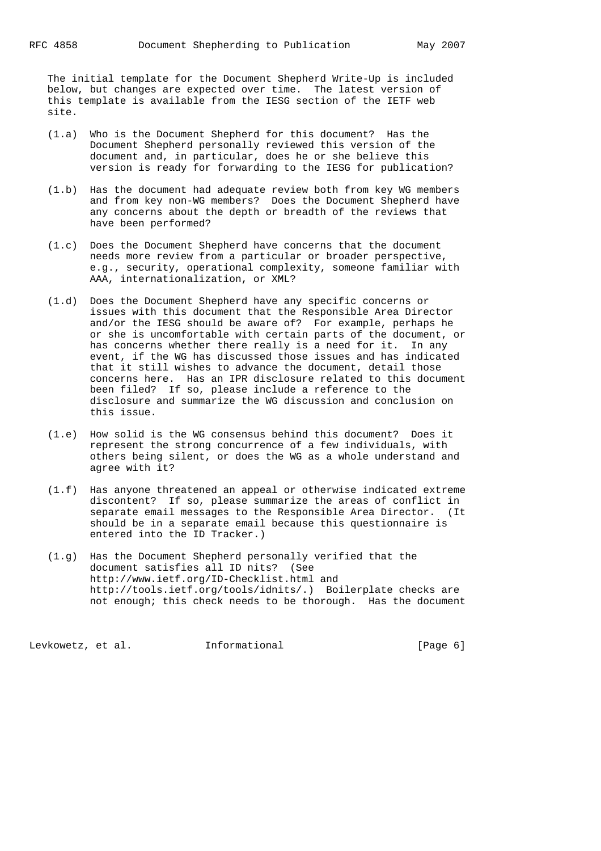The initial template for the Document Shepherd Write-Up is included below, but changes are expected over time. The latest version of this template is available from the IESG section of the IETF web site.

- (1.a) Who is the Document Shepherd for this document? Has the Document Shepherd personally reviewed this version of the document and, in particular, does he or she believe this version is ready for forwarding to the IESG for publication?
- (1.b) Has the document had adequate review both from key WG members and from key non-WG members? Does the Document Shepherd have any concerns about the depth or breadth of the reviews that have been performed?
- (1.c) Does the Document Shepherd have concerns that the document needs more review from a particular or broader perspective, e.g., security, operational complexity, someone familiar with AAA, internationalization, or XML?
- (1.d) Does the Document Shepherd have any specific concerns or issues with this document that the Responsible Area Director and/or the IESG should be aware of? For example, perhaps he or she is uncomfortable with certain parts of the document, or has concerns whether there really is a need for it. In any event, if the WG has discussed those issues and has indicated that it still wishes to advance the document, detail those concerns here. Has an IPR disclosure related to this document been filed? If so, please include a reference to the disclosure and summarize the WG discussion and conclusion on this issue.
- (1.e) How solid is the WG consensus behind this document? Does it represent the strong concurrence of a few individuals, with others being silent, or does the WG as a whole understand and agree with it?
- (1.f) Has anyone threatened an appeal or otherwise indicated extreme discontent? If so, please summarize the areas of conflict in separate email messages to the Responsible Area Director. (It should be in a separate email because this questionnaire is entered into the ID Tracker.)
- (1.g) Has the Document Shepherd personally verified that the document satisfies all ID nits? (See http://www.ietf.org/ID-Checklist.html and http://tools.ietf.org/tools/idnits/.) Boilerplate checks are not enough; this check needs to be thorough. Has the document

Levkowetz, et al. 1nformational 1999 [Page 6]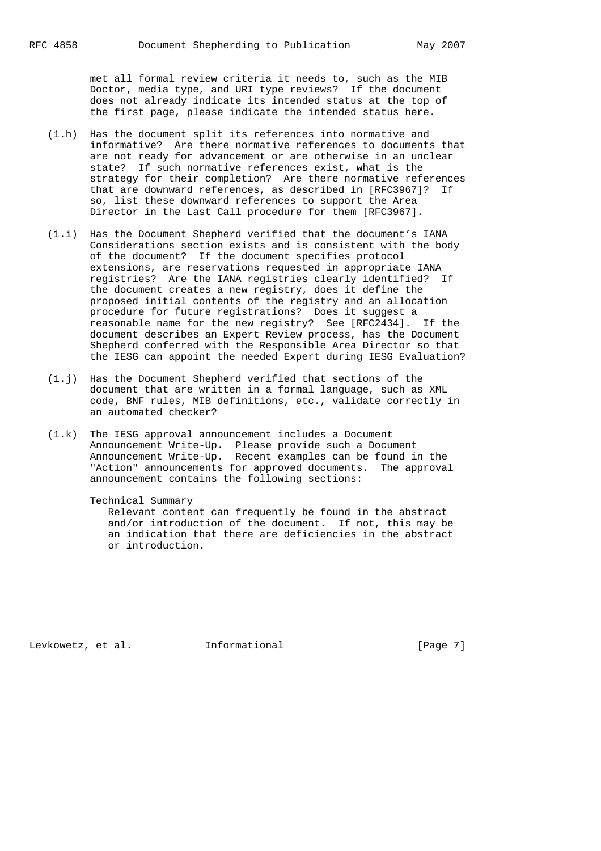met all formal review criteria it needs to, such as the MIB Doctor, media type, and URI type reviews? If the document does not already indicate its intended status at the top of the first page, please indicate the intended status here.

- (1.h) Has the document split its references into normative and informative? Are there normative references to documents that are not ready for advancement or are otherwise in an unclear state? If such normative references exist, what is the strategy for their completion? Are there normative references that are downward references, as described in [RFC3967]? If so, list these downward references to support the Area Director in the Last Call procedure for them [RFC3967].
- (1.i) Has the Document Shepherd verified that the document's IANA Considerations section exists and is consistent with the body of the document? If the document specifies protocol extensions, are reservations requested in appropriate IANA registries? Are the IANA registries clearly identified? If the document creates a new registry, does it define the proposed initial contents of the registry and an allocation procedure for future registrations? Does it suggest a reasonable name for the new registry? See [RFC2434]. If the document describes an Expert Review process, has the Document Shepherd conferred with the Responsible Area Director so that the IESG can appoint the needed Expert during IESG Evaluation?
- (1.j) Has the Document Shepherd verified that sections of the document that are written in a formal language, such as XML code, BNF rules, MIB definitions, etc., validate correctly in an automated checker?
- (1.k) The IESG approval announcement includes a Document Announcement Write-Up. Please provide such a Document Announcement Write-Up. Recent examples can be found in the "Action" announcements for approved documents. The approval announcement contains the following sections:

Technical Summary

 Relevant content can frequently be found in the abstract and/or introduction of the document. If not, this may be an indication that there are deficiencies in the abstract or introduction.

Levkowetz, et al. 1nformational 1999 [Page 7]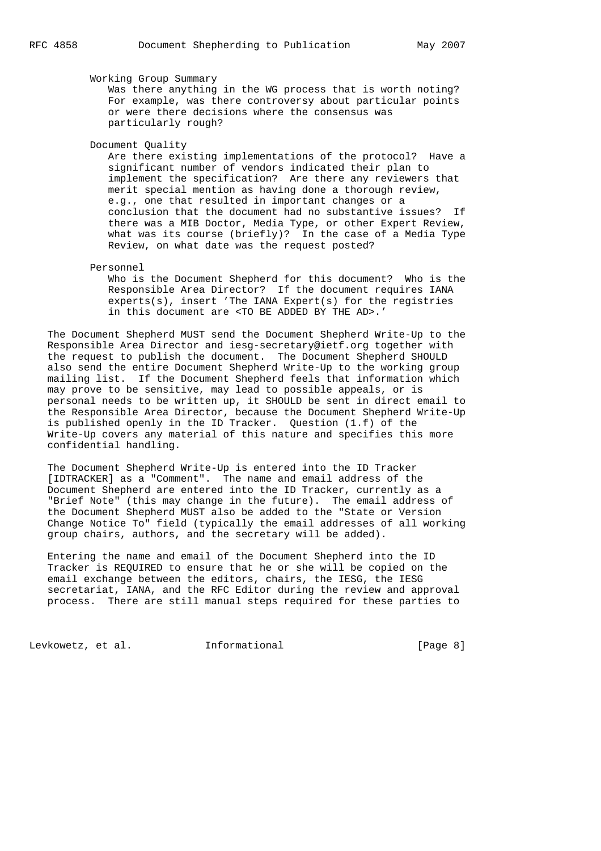Working Group Summary

 Was there anything in the WG process that is worth noting? For example, was there controversy about particular points or were there decisions where the consensus was particularly rough?

Document Quality

 Are there existing implementations of the protocol? Have a significant number of vendors indicated their plan to implement the specification? Are there any reviewers that merit special mention as having done a thorough review, e.g., one that resulted in important changes or a conclusion that the document had no substantive issues? If there was a MIB Doctor, Media Type, or other Expert Review, what was its course (briefly)? In the case of a Media Type Review, on what date was the request posted?

Personnel

 Who is the Document Shepherd for this document? Who is the Responsible Area Director? If the document requires IANA experts(s), insert 'The IANA Expert(s) for the registries in this document are <TO BE ADDED BY THE AD>.'

 The Document Shepherd MUST send the Document Shepherd Write-Up to the Responsible Area Director and iesg-secretary@ietf.org together with the request to publish the document. The Document Shepherd SHOULD also send the entire Document Shepherd Write-Up to the working group mailing list. If the Document Shepherd feels that information which may prove to be sensitive, may lead to possible appeals, or is personal needs to be written up, it SHOULD be sent in direct email to the Responsible Area Director, because the Document Shepherd Write-Up is published openly in the ID Tracker. Question (1.f) of the Write-Up covers any material of this nature and specifies this more confidential handling.

 The Document Shepherd Write-Up is entered into the ID Tracker [IDTRACKER] as a "Comment". The name and email address of the Document Shepherd are entered into the ID Tracker, currently as a "Brief Note" (this may change in the future). The email address of the Document Shepherd MUST also be added to the "State or Version Change Notice To" field (typically the email addresses of all working group chairs, authors, and the secretary will be added).

 Entering the name and email of the Document Shepherd into the ID Tracker is REQUIRED to ensure that he or she will be copied on the email exchange between the editors, chairs, the IESG, the IESG secretariat, IANA, and the RFC Editor during the review and approval process. There are still manual steps required for these parties to

Levkowetz, et al. 1nformational 1999 [Page 8]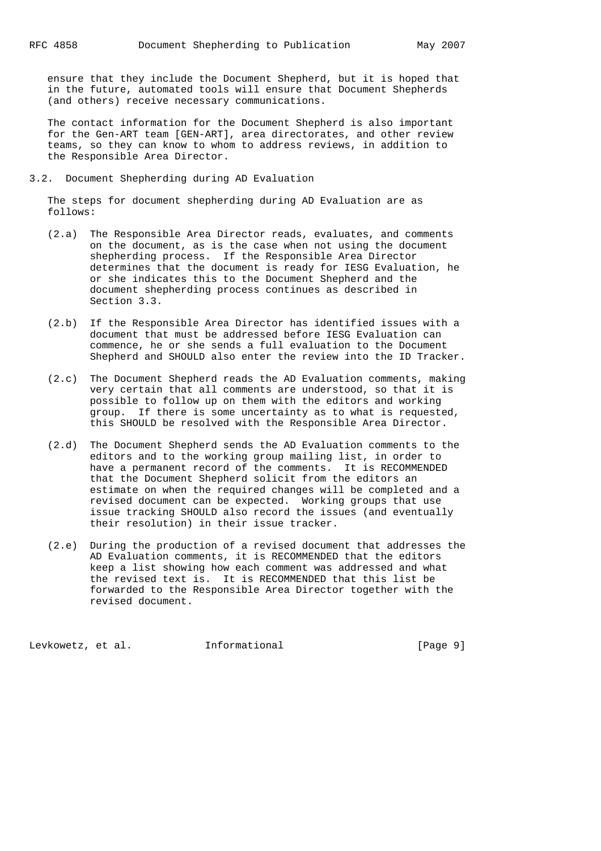ensure that they include the Document Shepherd, but it is hoped that in the future, automated tools will ensure that Document Shepherds (and others) receive necessary communications.

 The contact information for the Document Shepherd is also important for the Gen-ART team [GEN-ART], area directorates, and other review teams, so they can know to whom to address reviews, in addition to the Responsible Area Director.

3.2. Document Shepherding during AD Evaluation

 The steps for document shepherding during AD Evaluation are as follows:

- (2.a) The Responsible Area Director reads, evaluates, and comments on the document, as is the case when not using the document shepherding process. If the Responsible Area Director determines that the document is ready for IESG Evaluation, he or she indicates this to the Document Shepherd and the document shepherding process continues as described in Section 3.3.
- (2.b) If the Responsible Area Director has identified issues with a document that must be addressed before IESG Evaluation can commence, he or she sends a full evaluation to the Document Shepherd and SHOULD also enter the review into the ID Tracker.
- (2.c) The Document Shepherd reads the AD Evaluation comments, making very certain that all comments are understood, so that it is possible to follow up on them with the editors and working group. If there is some uncertainty as to what is requested, this SHOULD be resolved with the Responsible Area Director.
- (2.d) The Document Shepherd sends the AD Evaluation comments to the editors and to the working group mailing list, in order to have a permanent record of the comments. It is RECOMMENDED that the Document Shepherd solicit from the editors an estimate on when the required changes will be completed and a revised document can be expected. Working groups that use issue tracking SHOULD also record the issues (and eventually their resolution) in their issue tracker.
- (2.e) During the production of a revised document that addresses the AD Evaluation comments, it is RECOMMENDED that the editors keep a list showing how each comment was addressed and what the revised text is. It is RECOMMENDED that this list be forwarded to the Responsible Area Director together with the revised document.

Levkowetz, et al. 1nformational 1999 [Page 9]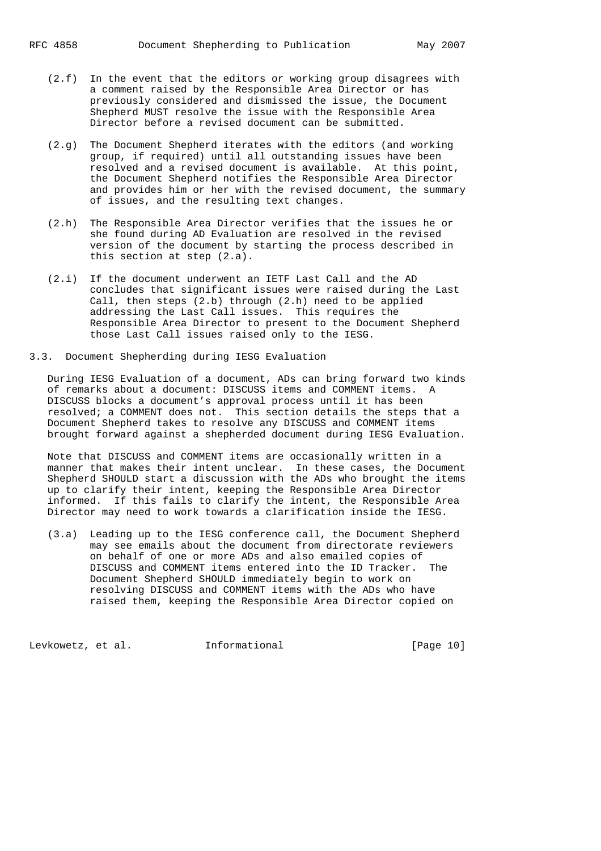- (2.f) In the event that the editors or working group disagrees with a comment raised by the Responsible Area Director or has previously considered and dismissed the issue, the Document Shepherd MUST resolve the issue with the Responsible Area Director before a revised document can be submitted.
- (2.g) The Document Shepherd iterates with the editors (and working group, if required) until all outstanding issues have been resolved and a revised document is available. At this point, the Document Shepherd notifies the Responsible Area Director and provides him or her with the revised document, the summary of issues, and the resulting text changes.
- (2.h) The Responsible Area Director verifies that the issues he or she found during AD Evaluation are resolved in the revised version of the document by starting the process described in this section at step (2.a).
- (2.i) If the document underwent an IETF Last Call and the AD concludes that significant issues were raised during the Last Call, then steps (2.b) through (2.h) need to be applied addressing the Last Call issues. This requires the Responsible Area Director to present to the Document Shepherd those Last Call issues raised only to the IESG.
- 3.3. Document Shepherding during IESG Evaluation

 During IESG Evaluation of a document, ADs can bring forward two kinds of remarks about a document: DISCUSS items and COMMENT items. A DISCUSS blocks a document's approval process until it has been resolved; a COMMENT does not. This section details the steps that a Document Shepherd takes to resolve any DISCUSS and COMMENT items brought forward against a shepherded document during IESG Evaluation.

 Note that DISCUSS and COMMENT items are occasionally written in a manner that makes their intent unclear. In these cases, the Document Shepherd SHOULD start a discussion with the ADs who brought the items up to clarify their intent, keeping the Responsible Area Director informed. If this fails to clarify the intent, the Responsible Area Director may need to work towards a clarification inside the IESG.

 (3.a) Leading up to the IESG conference call, the Document Shepherd may see emails about the document from directorate reviewers on behalf of one or more ADs and also emailed copies of DISCUSS and COMMENT items entered into the ID Tracker. The Document Shepherd SHOULD immediately begin to work on resolving DISCUSS and COMMENT items with the ADs who have raised them, keeping the Responsible Area Director copied on

Levkowetz, et al. 1nformational [Page 10]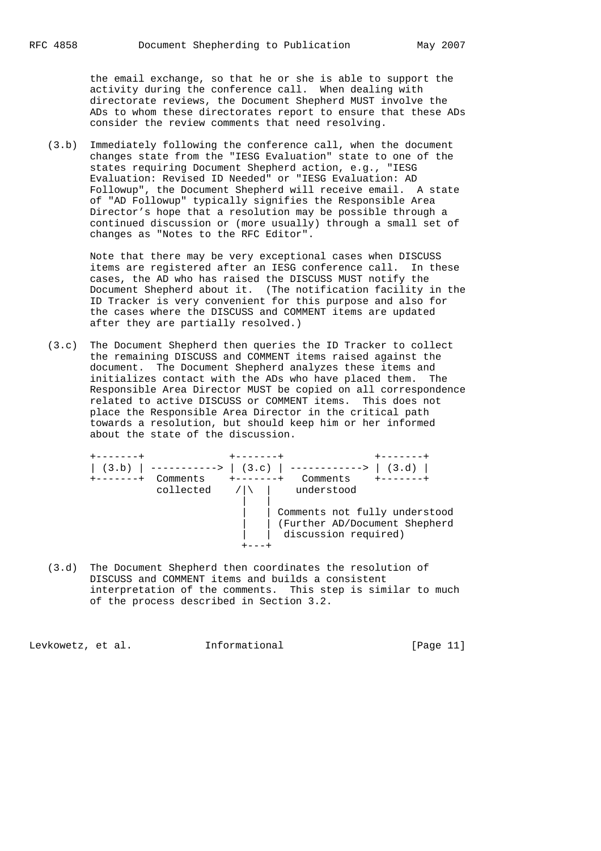the email exchange, so that he or she is able to support the activity during the conference call. When dealing with directorate reviews, the Document Shepherd MUST involve the ADs to whom these directorates report to ensure that these ADs consider the review comments that need resolving.

 (3.b) Immediately following the conference call, when the document changes state from the "IESG Evaluation" state to one of the states requiring Document Shepherd action, e.g., "IESG Evaluation: Revised ID Needed" or "IESG Evaluation: AD Followup", the Document Shepherd will receive email. A state of "AD Followup" typically signifies the Responsible Area Director's hope that a resolution may be possible through a continued discussion or (more usually) through a small set of changes as "Notes to the RFC Editor".

 Note that there may be very exceptional cases when DISCUSS items are registered after an IESG conference call. In these cases, the AD who has raised the DISCUSS MUST notify the Document Shepherd about it. (The notification facility in the ID Tracker is very convenient for this purpose and also for the cases where the DISCUSS and COMMENT items are updated after they are partially resolved.)

 (3.c) The Document Shepherd then queries the ID Tracker to collect the remaining DISCUSS and COMMENT items raised against the document. The Document Shepherd analyzes these items and initializes contact with the ADs who have placed them. The Responsible Area Director MUST be copied on all correspondence related to active DISCUSS or COMMENT items. This does not place the Responsible Area Director in the critical path towards a resolution, but should keep him or her informed about the state of the discussion.



 (3.d) The Document Shepherd then coordinates the resolution of DISCUSS and COMMENT items and builds a consistent interpretation of the comments. This step is similar to much of the process described in Section 3.2.

Levkowetz, et al. 1nformational [Page 11]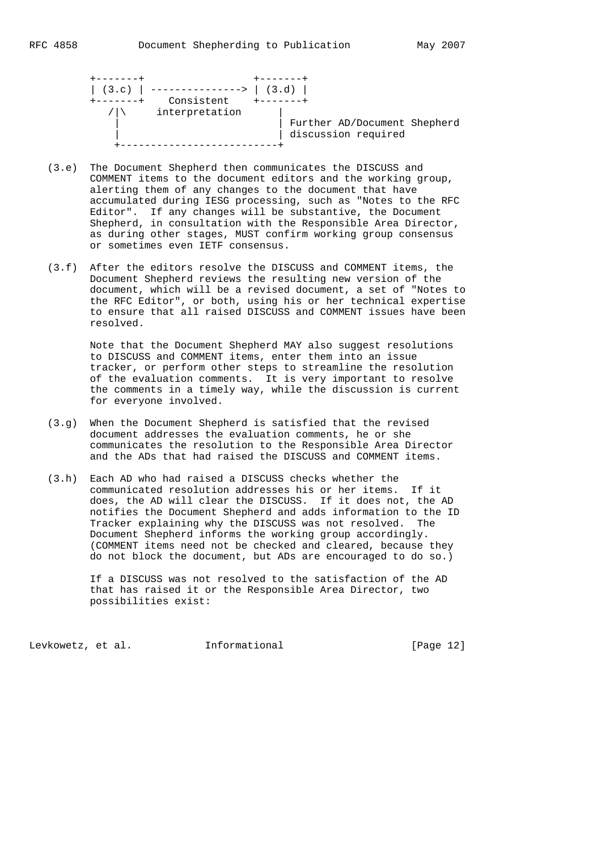| $(3.c)$   --------------->                      | (3,d)                                               |
|-------------------------------------------------|-----------------------------------------------------|
| Consistent<br>$- - - - - - +$<br>interpretation | $+ - - - - - - -$                                   |
|                                                 | Further AD/Document Shepherd<br>discussion required |
|                                                 |                                                     |

- (3.e) The Document Shepherd then communicates the DISCUSS and COMMENT items to the document editors and the working group, alerting them of any changes to the document that have accumulated during IESG processing, such as "Notes to the RFC Editor". If any changes will be substantive, the Document Shepherd, in consultation with the Responsible Area Director, as during other stages, MUST confirm working group consensus or sometimes even IETF consensus.
- (3.f) After the editors resolve the DISCUSS and COMMENT items, the Document Shepherd reviews the resulting new version of the document, which will be a revised document, a set of "Notes to the RFC Editor", or both, using his or her technical expertise to ensure that all raised DISCUSS and COMMENT issues have been resolved.

 Note that the Document Shepherd MAY also suggest resolutions to DISCUSS and COMMENT items, enter them into an issue tracker, or perform other steps to streamline the resolution of the evaluation comments. It is very important to resolve the comments in a timely way, while the discussion is current for everyone involved.

- (3.g) When the Document Shepherd is satisfied that the revised document addresses the evaluation comments, he or she communicates the resolution to the Responsible Area Director and the ADs that had raised the DISCUSS and COMMENT items.
- (3.h) Each AD who had raised a DISCUSS checks whether the communicated resolution addresses his or her items. If it does, the AD will clear the DISCUSS. If it does not, the AD notifies the Document Shepherd and adds information to the ID Tracker explaining why the DISCUSS was not resolved. The Document Shepherd informs the working group accordingly. (COMMENT items need not be checked and cleared, because they do not block the document, but ADs are encouraged to do so.)

 If a DISCUSS was not resolved to the satisfaction of the AD that has raised it or the Responsible Area Director, two possibilities exist:

Levkowetz, et al. 1nformational [Page 12]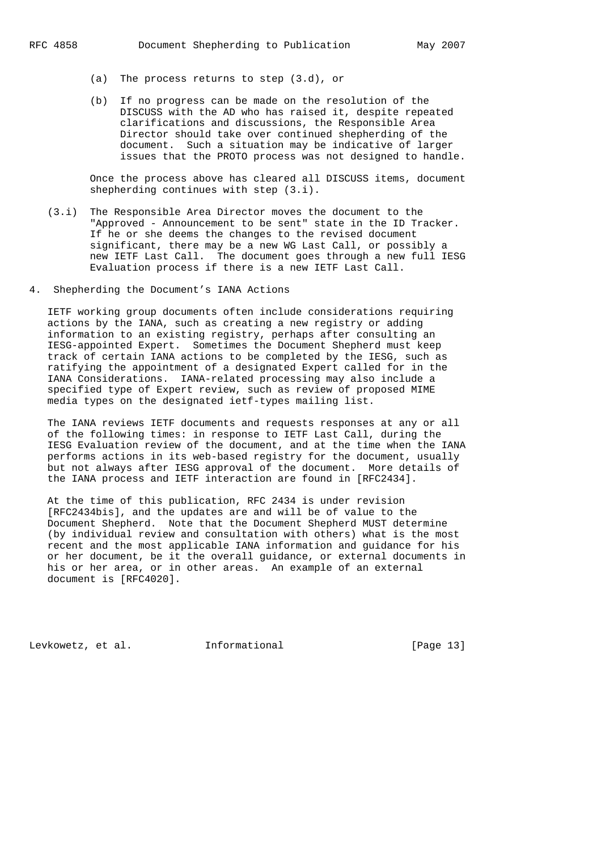- (a) The process returns to step (3.d), or
- (b) If no progress can be made on the resolution of the DISCUSS with the AD who has raised it, despite repeated clarifications and discussions, the Responsible Area Director should take over continued shepherding of the document. Such a situation may be indicative of larger issues that the PROTO process was not designed to handle.

 Once the process above has cleared all DISCUSS items, document shepherding continues with step (3.i).

- (3.i) The Responsible Area Director moves the document to the "Approved - Announcement to be sent" state in the ID Tracker. If he or she deems the changes to the revised document significant, there may be a new WG Last Call, or possibly a new IETF Last Call. The document goes through a new full IESG Evaluation process if there is a new IETF Last Call.
- 4. Shepherding the Document's IANA Actions

 IETF working group documents often include considerations requiring actions by the IANA, such as creating a new registry or adding information to an existing registry, perhaps after consulting an IESG-appointed Expert. Sometimes the Document Shepherd must keep track of certain IANA actions to be completed by the IESG, such as ratifying the appointment of a designated Expert called for in the IANA Considerations. IANA-related processing may also include a specified type of Expert review, such as review of proposed MIME media types on the designated ietf-types mailing list.

 The IANA reviews IETF documents and requests responses at any or all of the following times: in response to IETF Last Call, during the IESG Evaluation review of the document, and at the time when the IANA performs actions in its web-based registry for the document, usually but not always after IESG approval of the document. More details of the IANA process and IETF interaction are found in [RFC2434].

 At the time of this publication, RFC 2434 is under revision [RFC2434bis], and the updates are and will be of value to the Document Shepherd. Note that the Document Shepherd MUST determine (by individual review and consultation with others) what is the most recent and the most applicable IANA information and guidance for his or her document, be it the overall guidance, or external documents in his or her area, or in other areas. An example of an external document is [RFC4020].

Levkowetz, et al. 1nformational [Page 13]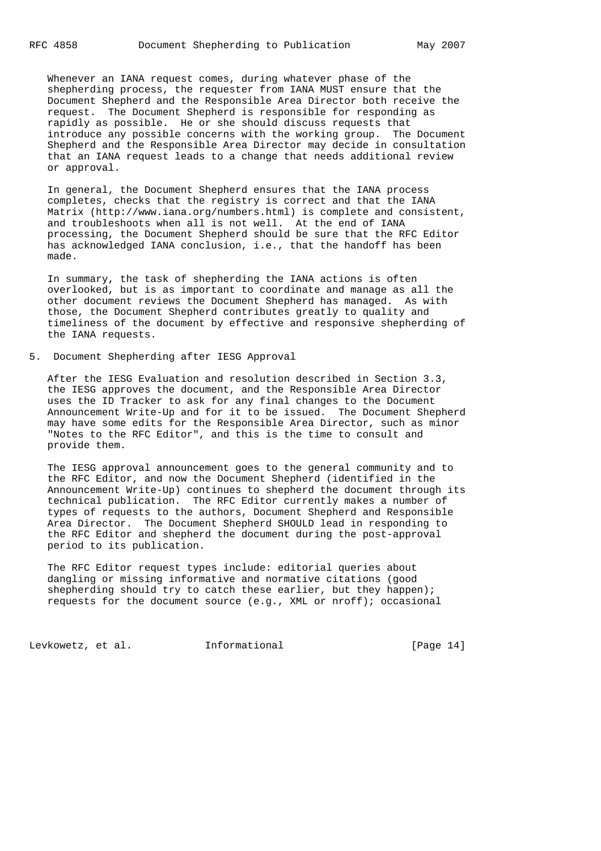Whenever an IANA request comes, during whatever phase of the shepherding process, the requester from IANA MUST ensure that the Document Shepherd and the Responsible Area Director both receive the request. The Document Shepherd is responsible for responding as rapidly as possible. He or she should discuss requests that introduce any possible concerns with the working group. The Document Shepherd and the Responsible Area Director may decide in consultation that an IANA request leads to a change that needs additional review or approval.

 In general, the Document Shepherd ensures that the IANA process completes, checks that the registry is correct and that the IANA Matrix (http://www.iana.org/numbers.html) is complete and consistent, and troubleshoots when all is not well. At the end of IANA processing, the Document Shepherd should be sure that the RFC Editor has acknowledged IANA conclusion, i.e., that the handoff has been made.

 In summary, the task of shepherding the IANA actions is often overlooked, but is as important to coordinate and manage as all the other document reviews the Document Shepherd has managed. As with those, the Document Shepherd contributes greatly to quality and timeliness of the document by effective and responsive shepherding of the IANA requests.

5. Document Shepherding after IESG Approval

 After the IESG Evaluation and resolution described in Section 3.3, the IESG approves the document, and the Responsible Area Director uses the ID Tracker to ask for any final changes to the Document Announcement Write-Up and for it to be issued. The Document Shepherd may have some edits for the Responsible Area Director, such as minor "Notes to the RFC Editor", and this is the time to consult and provide them.

 The IESG approval announcement goes to the general community and to the RFC Editor, and now the Document Shepherd (identified in the Announcement Write-Up) continues to shepherd the document through its technical publication. The RFC Editor currently makes a number of types of requests to the authors, Document Shepherd and Responsible Area Director. The Document Shepherd SHOULD lead in responding to the RFC Editor and shepherd the document during the post-approval period to its publication.

 The RFC Editor request types include: editorial queries about dangling or missing informative and normative citations (good shepherding should try to catch these earlier, but they happen); requests for the document source (e.g., XML or nroff); occasional

Levkowetz, et al. 1nformational [Page 14]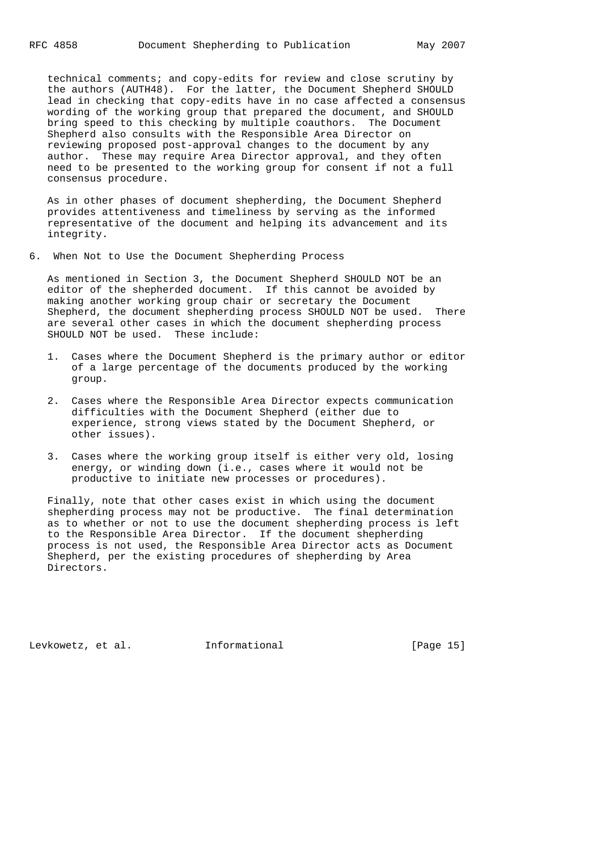technical comments; and copy-edits for review and close scrutiny by the authors (AUTH48). For the latter, the Document Shepherd SHOULD lead in checking that copy-edits have in no case affected a consensus wording of the working group that prepared the document, and SHOULD bring speed to this checking by multiple coauthors. The Document Shepherd also consults with the Responsible Area Director on reviewing proposed post-approval changes to the document by any author. These may require Area Director approval, and they often need to be presented to the working group for consent if not a full consensus procedure.

 As in other phases of document shepherding, the Document Shepherd provides attentiveness and timeliness by serving as the informed representative of the document and helping its advancement and its integrity.

6. When Not to Use the Document Shepherding Process

 As mentioned in Section 3, the Document Shepherd SHOULD NOT be an editor of the shepherded document. If this cannot be avoided by making another working group chair or secretary the Document Shepherd, the document shepherding process SHOULD NOT be used. There are several other cases in which the document shepherding process SHOULD NOT be used. These include:

- 1. Cases where the Document Shepherd is the primary author or editor of a large percentage of the documents produced by the working group.
- 2. Cases where the Responsible Area Director expects communication difficulties with the Document Shepherd (either due to experience, strong views stated by the Document Shepherd, or other issues).
- 3. Cases where the working group itself is either very old, losing energy, or winding down (i.e., cases where it would not be productive to initiate new processes or procedures).

 Finally, note that other cases exist in which using the document shepherding process may not be productive. The final determination as to whether or not to use the document shepherding process is left to the Responsible Area Director. If the document shepherding process is not used, the Responsible Area Director acts as Document Shepherd, per the existing procedures of shepherding by Area Directors.

Levkowetz, et al. 1nformational [Page 15]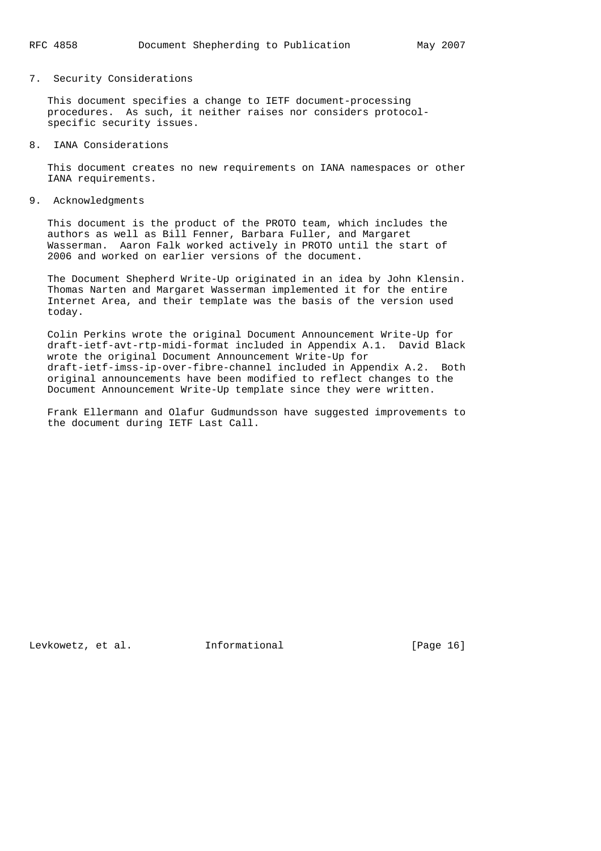# 7. Security Considerations

 This document specifies a change to IETF document-processing procedures. As such, it neither raises nor considers protocol specific security issues.

8. IANA Considerations

 This document creates no new requirements on IANA namespaces or other IANA requirements.

9. Acknowledgments

 This document is the product of the PROTO team, which includes the authors as well as Bill Fenner, Barbara Fuller, and Margaret Wasserman. Aaron Falk worked actively in PROTO until the start of 2006 and worked on earlier versions of the document.

 The Document Shepherd Write-Up originated in an idea by John Klensin. Thomas Narten and Margaret Wasserman implemented it for the entire Internet Area, and their template was the basis of the version used today.

 Colin Perkins wrote the original Document Announcement Write-Up for draft-ietf-avt-rtp-midi-format included in Appendix A.1. David Black wrote the original Document Announcement Write-Up for draft-ietf-imss-ip-over-fibre-channel included in Appendix A.2. Both original announcements have been modified to reflect changes to the Document Announcement Write-Up template since they were written.

 Frank Ellermann and Olafur Gudmundsson have suggested improvements to the document during IETF Last Call.

Levkowetz, et al. 1nformational [Page 16]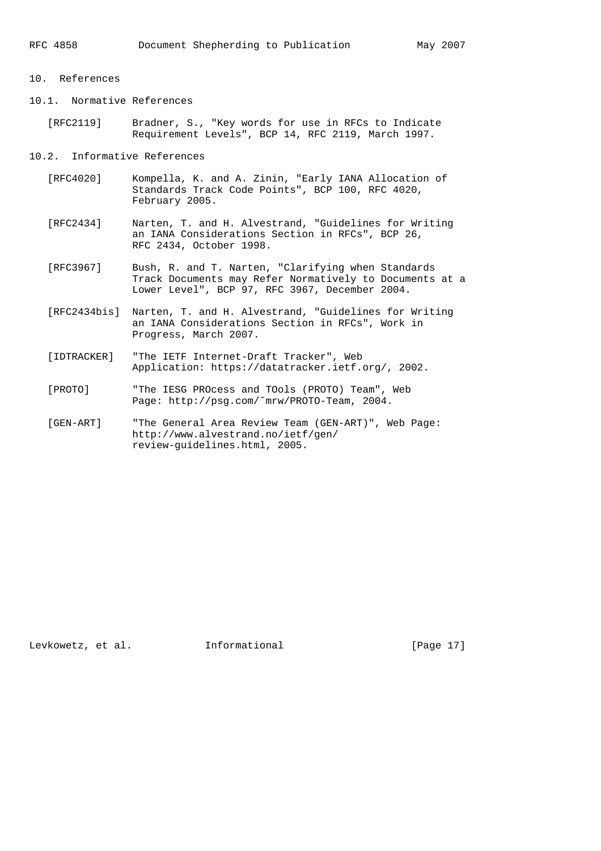# 10. References

10.1. Normative References

 [RFC2119] Bradner, S., "Key words for use in RFCs to Indicate Requirement Levels", BCP 14, RFC 2119, March 1997.

10.2. Informative References

- [RFC4020] Kompella, K. and A. Zinin, "Early IANA Allocation of Standards Track Code Points", BCP 100, RFC 4020, February 2005.
- [RFC2434] Narten, T. and H. Alvestrand, "Guidelines for Writing an IANA Considerations Section in RFCs", BCP 26, RFC 2434, October 1998.
- [RFC3967] Bush, R. and T. Narten, "Clarifying when Standards Track Documents may Refer Normatively to Documents at a Lower Level", BCP 97, RFC 3967, December 2004.
- [RFC2434bis] Narten, T. and H. Alvestrand, "Guidelines for Writing an IANA Considerations Section in RFCs", Work in Progress, March 2007.
- [IDTRACKER] "The IETF Internet-Draft Tracker", Web Application: https://datatracker.ietf.org/, 2002.
- [PROTO] "The IESG PROcess and TOols (PROTO) Team", Web Page: http://psg.com/˜mrw/PROTO-Team, 2004.
- [GEN-ART] "The General Area Review Team (GEN-ART)", Web Page: http://www.alvestrand.no/ietf/gen/ review-guidelines.html, 2005.

Levkowetz, et al. 1nformational [Page 17]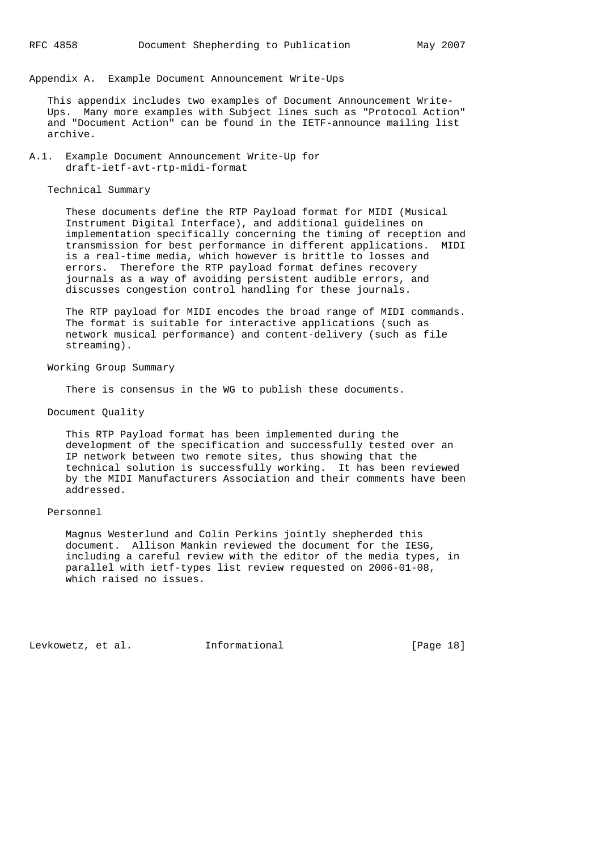#### Appendix A. Example Document Announcement Write-Ups

 This appendix includes two examples of Document Announcement Write- Ups. Many more examples with Subject lines such as "Protocol Action" and "Document Action" can be found in the IETF-announce mailing list archive.

A.1. Example Document Announcement Write-Up for draft-ietf-avt-rtp-midi-format

Technical Summary

 These documents define the RTP Payload format for MIDI (Musical Instrument Digital Interface), and additional guidelines on implementation specifically concerning the timing of reception and transmission for best performance in different applications. MIDI is a real-time media, which however is brittle to losses and errors. Therefore the RTP payload format defines recovery journals as a way of avoiding persistent audible errors, and discusses congestion control handling for these journals.

 The RTP payload for MIDI encodes the broad range of MIDI commands. The format is suitable for interactive applications (such as network musical performance) and content-delivery (such as file streaming).

Working Group Summary

There is consensus in the WG to publish these documents.

Document Quality

 This RTP Payload format has been implemented during the development of the specification and successfully tested over an IP network between two remote sites, thus showing that the technical solution is successfully working. It has been reviewed by the MIDI Manufacturers Association and their comments have been addressed.

# Personnel

 Magnus Westerlund and Colin Perkins jointly shepherded this document. Allison Mankin reviewed the document for the IESG, including a careful review with the editor of the media types, in parallel with ietf-types list review requested on 2006-01-08, which raised no issues.

Levkowetz, et al. 1nformational [Page 18]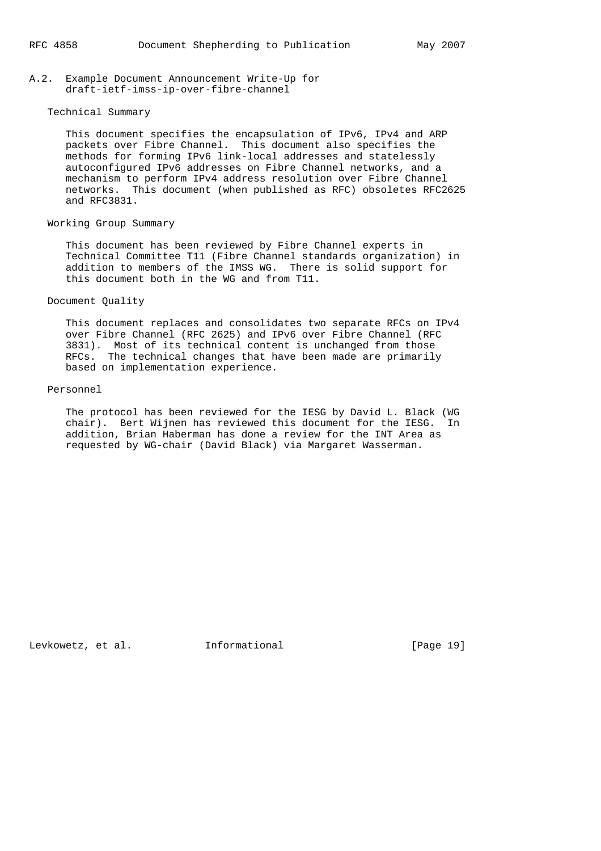A.2. Example Document Announcement Write-Up for draft-ietf-imss-ip-over-fibre-channel

#### Technical Summary

 This document specifies the encapsulation of IPv6, IPv4 and ARP packets over Fibre Channel. This document also specifies the methods for forming IPv6 link-local addresses and statelessly autoconfigured IPv6 addresses on Fibre Channel networks, and a mechanism to perform IPv4 address resolution over Fibre Channel networks. This document (when published as RFC) obsoletes RFC2625 and RFC3831.

### Working Group Summary

 This document has been reviewed by Fibre Channel experts in Technical Committee T11 (Fibre Channel standards organization) in addition to members of the IMSS WG. There is solid support for this document both in the WG and from T11.

### Document Quality

 This document replaces and consolidates two separate RFCs on IPv4 over Fibre Channel (RFC 2625) and IPv6 over Fibre Channel (RFC 3831). Most of its technical content is unchanged from those RFCs. The technical changes that have been made are primarily based on implementation experience.

# Personnel

 The protocol has been reviewed for the IESG by David L. Black (WG chair). Bert Wijnen has reviewed this document for the IESG. In addition, Brian Haberman has done a review for the INT Area as requested by WG-chair (David Black) via Margaret Wasserman.

Levkowetz, et al. 1nformational [Page 19]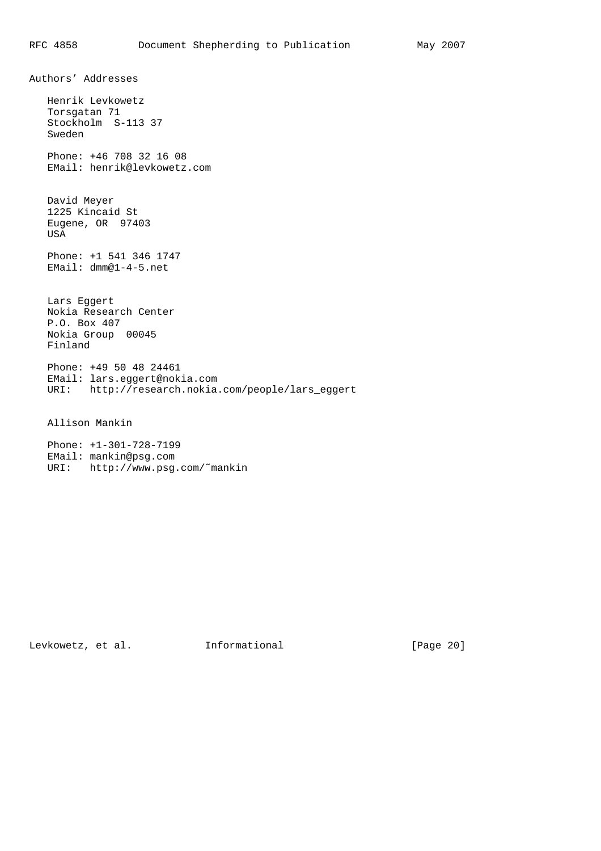Authors' Addresses Henrik Levkowetz Torsgatan 71 Stockholm S-113 37 Sweden Phone: +46 708 32 16 08 EMail: henrik@levkowetz.com David Meyer 1225 Kincaid St Eugene, OR 97403 USA Phone: +1 541 346 1747 EMail: dmm@1-4-5.net Lars Eggert Nokia Research Center P.O. Box 407 Nokia Group 00045 Finland Phone: +49 50 48 24461 EMail: lars.eggert@nokia.com URI: http://research.nokia.com/people/lars\_eggert Allison Mankin

 Phone: +1-301-728-7199 EMail: mankin@psg.com URI: http://www.psg.com/˜mankin

Levkowetz, et al. 1nformational [Page 20]